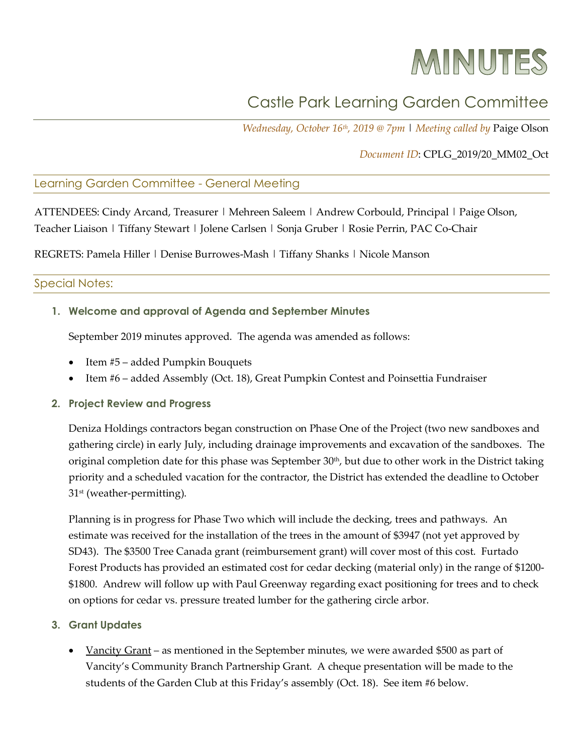# MINUTES

## Castle Park Learning Garden Committee

*Wednesday, October 16th, 2019 @ 7pm* | *Meeting called by* Paige Olson

#### *Document ID*: CPLG\_2019/20\_MM02\_Oct

#### Learning Garden Committee - General Meeting

ATTENDEES: Cindy Arcand, Treasurer | Mehreen Saleem | Andrew Corbould, Principal | Paige Olson, Teacher Liaison | Tiffany Stewart | Jolene Carlsen | Sonja Gruber | Rosie Perrin, PAC Co-Chair

REGRETS: Pamela Hiller | Denise Burrowes-Mash | Tiffany Shanks | Nicole Manson

#### Special Notes:

**1. Welcome and approval of Agenda and September Minutes**

September 2019 minutes approved. The agenda was amended as follows:

- Item #5 added Pumpkin Bouquets
- Item #6 added Assembly (Oct. 18), Great Pumpkin Contest and Poinsettia Fundraiser
- **2. Project Review and Progress**

Deniza Holdings contractors began construction on Phase One of the Project (two new sandboxes and gathering circle) in early July, including drainage improvements and excavation of the sandboxes. The original completion date for this phase was September 30<sup>th</sup>, but due to other work in the District taking priority and a scheduled vacation for the contractor, the District has extended the deadline to October 31<sup>st</sup> (weather-permitting).

Planning is in progress for Phase Two which will include the decking, trees and pathways. An estimate was received for the installation of the trees in the amount of \$3947 (not yet approved by SD43). The \$3500 Tree Canada grant (reimbursement grant) will cover most of this cost. Furtado Forest Products has provided an estimated cost for cedar decking (material only) in the range of \$1200- \$1800. Andrew will follow up with Paul Greenway regarding exact positioning for trees and to check on options for cedar vs. pressure treated lumber for the gathering circle arbor.

- **3. Grant Updates**
	- Vancity Grant as mentioned in the September minutes, we were awarded \$500 as part of Vancity's Community Branch Partnership Grant. A cheque presentation will be made to the students of the Garden Club at this Friday's assembly (Oct. 18). See item #6 below.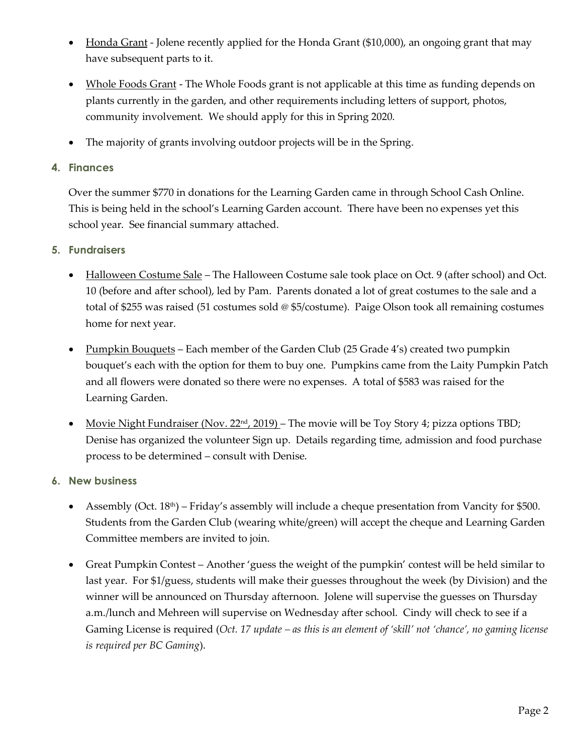- Honda Grant Jolene recently applied for the Honda Grant (\$10,000), an ongoing grant that may have subsequent parts to it.
- Whole Foods Grant The Whole Foods grant is not applicable at this time as funding depends on plants currently in the garden, and other requirements including letters of support, photos, community involvement. We should apply for this in Spring 2020.
- The majority of grants involving outdoor projects will be in the Spring.
- **4. Finances**

Over the summer \$770 in donations for the Learning Garden came in through School Cash Online. This is being held in the school's Learning Garden account. There have been no expenses yet this school year. See financial summary attached.

- **5. Fundraisers**
	- Halloween Costume Sale The Halloween Costume sale took place on Oct. 9 (after school) and Oct. 10 (before and after school), led by Pam. Parents donated a lot of great costumes to the sale and a total of \$255 was raised (51 costumes sold @ \$5/costume). Paige Olson took all remaining costumes home for next year.
	- Pumpkin Bouquets Each member of the Garden Club (25 Grade 4's) created two pumpkin bouquet's each with the option for them to buy one. Pumpkins came from the Laity Pumpkin Patch and all flowers were donated so there were no expenses. A total of \$583 was raised for the Learning Garden.
	- Movie Night Fundraiser (Nov.  $22<sup>nd</sup>$ ,  $2019$ ) The movie will be Toy Story 4; pizza options TBD; Denise has organized the volunteer Sign up. Details regarding time, admission and food purchase process to be determined – consult with Denise.
- **6. New business**
	- Assembly (Oct.  $18<sup>th</sup>$ ) Friday's assembly will include a cheque presentation from Vancity for \$500. Students from the Garden Club (wearing white/green) will accept the cheque and Learning Garden Committee members are invited to join.
	- Great Pumpkin Contest Another 'guess the weight of the pumpkin' contest will be held similar to last year. For \$1/guess, students will make their guesses throughout the week (by Division) and the winner will be announced on Thursday afternoon. Jolene will supervise the guesses on Thursday a.m./lunch and Mehreen will supervise on Wednesday after school. Cindy will check to see if a Gaming License is required (*Oct. 17 update – as this is an element of 'skill' not 'chance', no gaming license is required per BC Gaming*).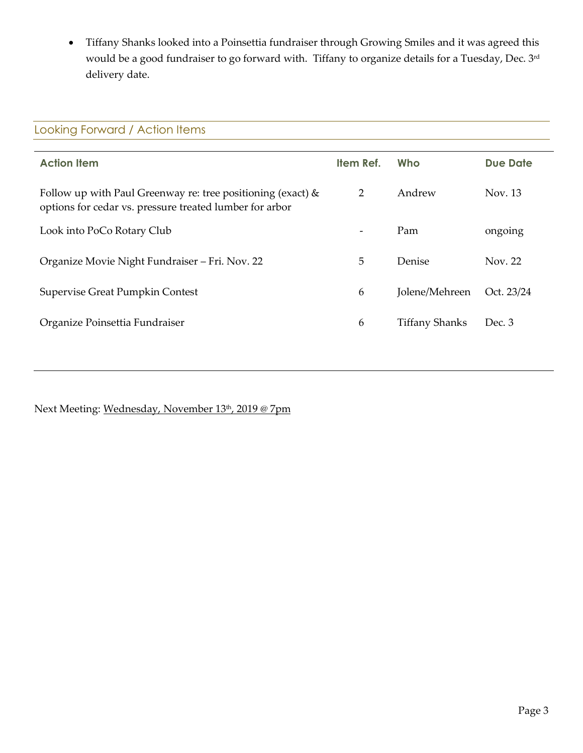• Tiffany Shanks looked into a Poinsettia fundraiser through Growing Smiles and it was agreed this would be a good fundraiser to go forward with. Tiffany to organize details for a Tuesday, Dec. 3rd delivery date.

| Looking Forward / Action Items                                                                                            |           |                       |                 |  |
|---------------------------------------------------------------------------------------------------------------------------|-----------|-----------------------|-----------------|--|
| <b>Action Item</b>                                                                                                        | Item Ref. | Who                   | <b>Due Date</b> |  |
| Follow up with Paul Greenway re: tree positioning (exact) $\&$<br>options for cedar vs. pressure treated lumber for arbor | 2         | Andrew                | Nov. 13         |  |
| Look into PoCo Rotary Club                                                                                                |           | Pam                   | ongoing         |  |
| Organize Movie Night Fundraiser – Fri. Nov. 22                                                                            | 5         | Denise                | Nov. 22         |  |
| Supervise Great Pumpkin Contest                                                                                           | 6         | Jolene/Mehreen        | Oct. 23/24      |  |
| Organize Poinsettia Fundraiser                                                                                            | 6         | <b>Tiffany Shanks</b> | Dec. 3          |  |
|                                                                                                                           |           |                       |                 |  |

Next Meeting: Wednesday, November 13th, 2019 @ 7pm